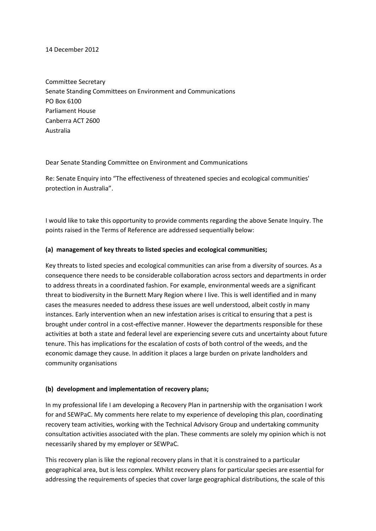#### 14 December 2012

Committee Secretary Senate Standing Committees on Environment and Communications PO Box 6100 Parliament House Canberra ACT 2600 Australia

Dear Senate Standing Committee on Environment and Communications

Re: Senate Enquiry into "The effectiveness of threatened species and ecological communities' protection in Australia".

I would like to take this opportunity to provide comments regarding the above Senate Inquiry. The points raised in the Terms of Reference are addressed sequentially below:

### **(a) management of key threats to listed species and ecological communities;**

Key threats to listed species and ecological communities can arise from a diversity of sources. As a consequence there needs to be considerable collaboration across sectors and departments in order to address threats in a coordinated fashion. For example, environmental weeds are a significant threat to biodiversity in the Burnett Mary Region where I live. This is well identified and in many cases the measures needed to address these issues are well understood, albeit costly in many instances. Early intervention when an new infestation arises is critical to ensuring that a pest is brought under control in a cost-effective manner. However the departments responsible for these activities at both a state and federal level are experiencing severe cuts and uncertainty about future tenure. This has implications for the escalation of costs of both control of the weeds, and the economic damage they cause. In addition it places a large burden on private landholders and community organisations

### **(b) development and implementation of recovery plans;**

In my professional life I am developing a Recovery Plan in partnership with the organisation I work for and SEWPaC. My comments here relate to my experience of developing this plan, coordinating recovery team activities, working with the Technical Advisory Group and undertaking community consultation activities associated with the plan. These comments are solely my opinion which is not necessarily shared by my employer or SEWPaC.

This recovery plan is like the regional recovery plans in that it is constrained to a particular geographical area, but is less complex. Whilst recovery plans for particular species are essential for addressing the requirements of species that cover large geographical distributions, the scale of this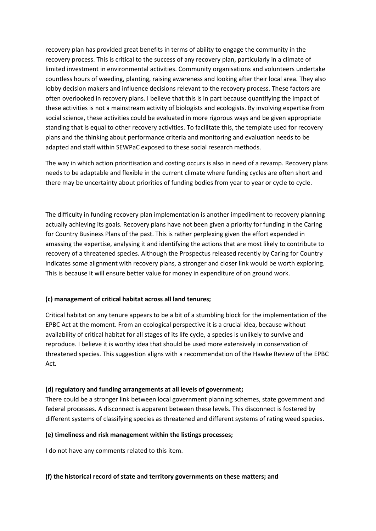recovery plan has provided great benefits in terms of ability to engage the community in the recovery process. This is critical to the success of any recovery plan, particularly in a climate of limited investment in environmental activities. Community organisations and volunteers undertake countless hours of weeding, planting, raising awareness and looking after their local area. They also lobby decision makers and influence decisions relevant to the recovery process. These factors are often overlooked in recovery plans. I believe that this is in part because quantifying the impact of these activities is not a mainstream activity of biologists and ecologists. By involving expertise from social science, these activities could be evaluated in more rigorous ways and be given appropriate standing that is equal to other recovery activities. To facilitate this, the template used for recovery plans and the thinking about performance criteria and monitoring and evaluation needs to be adapted and staff within SEWPaC exposed to these social research methods.

The way in which action prioritisation and costing occurs is also in need of a revamp. Recovery plans needs to be adaptable and flexible in the current climate where funding cycles are often short and there may be uncertainty about priorities of funding bodies from year to year or cycle to cycle.

The difficulty in funding recovery plan implementation is another impediment to recovery planning actually achieving its goals. Recovery plans have not been given a priority for funding in the Caring for Country Business Plans of the past. This is rather perplexing given the effort expended in amassing the expertise, analysing it and identifying the actions that are most likely to contribute to recovery of a threatened species. Although the Prospectus released recently by Caring for Country indicates some alignment with recovery plans, a stronger and closer link would be worth exploring. This is because it will ensure better value for money in expenditure of on ground work.

# **(c) management of critical habitat across all land tenures;**

Critical habitat on any tenure appears to be a bit of a stumbling block for the implementation of the EPBC Act at the moment. From an ecological perspective it is a crucial idea, because without availability of critical habitat for all stages of its life cycle, a species is unlikely to survive and reproduce. I believe it is worthy idea that should be used more extensively in conservation of threatened species. This suggestion aligns with a recommendation of the Hawke Review of the EPBC Act.

### **(d) regulatory and funding arrangements at all levels of government;**

There could be a stronger link between local government planning schemes, state government and federal processes. A disconnect is apparent between these levels. This disconnect is fostered by different systems of classifying species as threatened and different systems of rating weed species.

### **(e) timeliness and risk management within the listings processes;**

I do not have any comments related to this item.

### **(f) the historical record of state and territory governments on these matters; and**